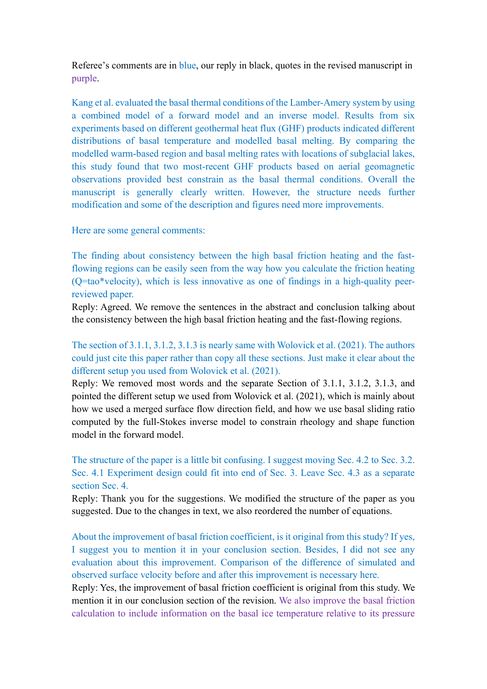Referee's comments are in blue, our reply in black, quotes in the revised manuscript in purple.

Kang et al. evaluated the basal thermal conditions of the Lamber-Amery system by using a combined model of a forward model and an inverse model. Results from six experiments based on different geothermal heat flux (GHF) products indicated different distributions of basal temperature and modelled basal melting. By comparing the modelled warm-based region and basal melting rates with locations of subglacial lakes, this study found that two most-recent GHF products based on aerial geomagnetic observations provided best constrain as the basal thermal conditions. Overall the manuscript is generally clearly written. However, the structure needs further modification and some of the description and figures need more improvements.

#### Here are some general comments:

The finding about consistency between the high basal friction heating and the fastflowing regions can be easily seen from the way how you calculate the friction heating (Q=tao\*velocity), which is less innovative as one of findings in a high-quality peerreviewed paper.

Reply: Agreed. We remove the sentences in the abstract and conclusion talking about the consistency between the high basal friction heating and the fast-flowing regions.

# The section of 3.1.1, 3.1.2, 3.1.3 is nearly same with Wolovick et al. (2021). The authors could just cite this paper rather than copy all these sections. Just make it clear about the different setup you used from Wolovick et al. (2021).

Reply: We removed most words and the separate Section of 3.1.1, 3.1.2, 3.1.3, and pointed the different setup we used from Wolovick et al. (2021), which is mainly about how we used a merged surface flow direction field, and how we use basal sliding ratio computed by the full-Stokes inverse model to constrain rheology and shape function model in the forward model.

The structure of the paper is a little bit confusing. I suggest moving Sec. 4.2 to Sec. 3.2. Sec. 4.1 Experiment design could fit into end of Sec. 3. Leave Sec. 4.3 as a separate section Sec. 4.

Reply: Thank you for the suggestions. We modified the structure of the paper as you suggested. Due to the changes in text, we also reordered the number of equations.

About the improvement of basal friction coefficient, is it original from this study? If yes, I suggest you to mention it in your conclusion section. Besides, I did not see any evaluation about this improvement. Comparison of the difference of simulated and observed surface velocity before and after this improvement is necessary here.

Reply: Yes, the improvement of basal friction coefficient is original from this study. We mention it in our conclusion section of the revision. We also improve the basal friction calculation to include information on the basal ice temperature relative to its pressure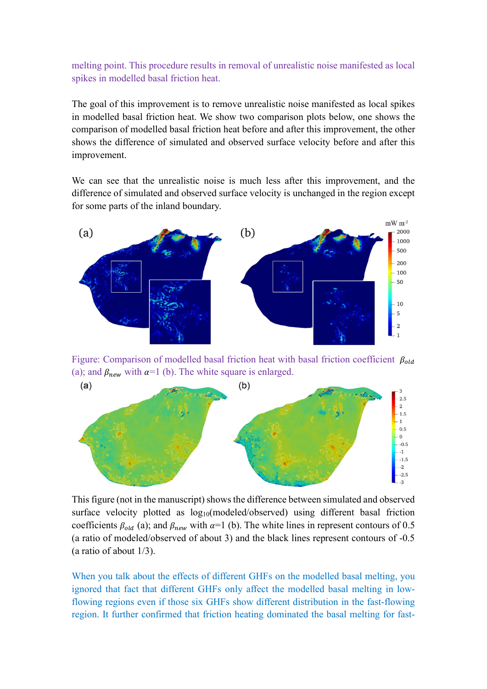melting point. This procedure results in removal of unrealistic noise manifested as local spikes in modelled basal friction heat.

The goal of this improvement is to remove unrealistic noise manifested as local spikes in modelled basal friction heat. We show two comparison plots below, one shows the comparison of modelled basal friction heat before and after this improvement, the other shows the difference of simulated and observed surface velocity before and after this improvement.

We can see that the unrealistic noise is much less after this improvement, and the difference of simulated and observed surface velocity is unchanged in the region except for some parts of the inland boundary.



Figure: Comparison of modelled basal friction heat with basal friction coefficient  $\beta_{old}$ (a); and  $\beta_{new}$  with  $\alpha=1$  (b). The white square is enlarged.



This figure (not in the manuscript) shows the difference between simulated and observed surface velocity plotted as log<sub>10</sub>(modeled/observed) using different basal friction coefficients  $\beta_{old}$  (a); and  $\beta_{new}$  with  $\alpha=1$  (b). The white lines in represent contours of 0.5 (a ratio of modeled/observed of about 3) and the black lines represent contours of -0.5 (a ratio of about 1/3).

When you talk about the effects of different GHFs on the modelled basal melting, you ignored that fact that different GHFs only affect the modelled basal melting in lowflowing regions even if those six GHFs show different distribution in the fast-flowing region. It further confirmed that friction heating dominated the basal melting for fast-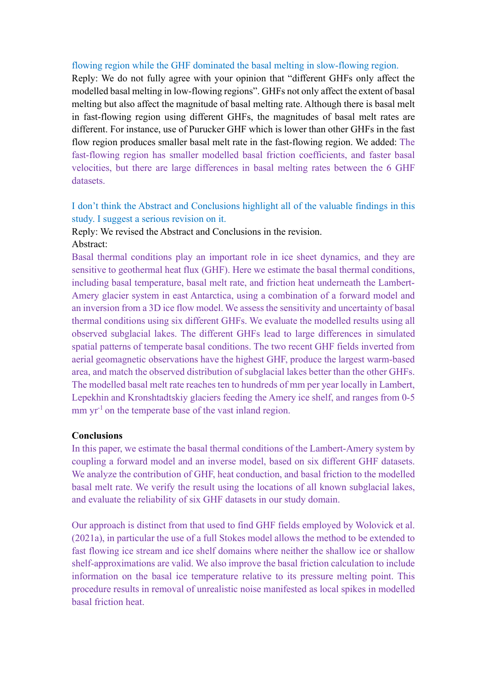### flowing region while the GHF dominated the basal melting in slow-flowing region.

Reply: We do not fully agree with your opinion that "different GHFs only affect the modelled basal melting in low-flowing regions". GHFs not only affect the extent of basal melting but also affect the magnitude of basal melting rate. Although there is basal melt in fast-flowing region using different GHFs, the magnitudes of basal melt rates are different. For instance, use of Purucker GHF which is lower than other GHFs in the fast flow region produces smaller basal melt rate in the fast-flowing region. We added: The fast-flowing region has smaller modelled basal friction coefficients, and faster basal velocities, but there are large differences in basal melting rates between the 6 GHF datasets.

I don't think the Abstract and Conclusions highlight all of the valuable findings in this study. I suggest a serious revision on it.

Reply: We revised the Abstract and Conclusions in the revision.

#### Abstract:

Basal thermal conditions play an important role in ice sheet dynamics, and they are sensitive to geothermal heat flux (GHF). Here we estimate the basal thermal conditions, including basal temperature, basal melt rate, and friction heat underneath the Lambert-Amery glacier system in east Antarctica, using a combination of a forward model and an inversion from a 3D ice flow model. We assess the sensitivity and uncertainty of basal thermal conditions using six different GHFs. We evaluate the modelled results using all observed subglacial lakes. The different GHFs lead to large differences in simulated spatial patterns of temperate basal conditions. The two recent GHF fields inverted from aerial geomagnetic observations have the highest GHF, produce the largest warm-based area, and match the observed distribution of subglacial lakes better than the other GHFs. The modelled basal melt rate reaches ten to hundreds of mm per year locally in Lambert, Lepekhin and Kronshtadtskiy glaciers feeding the Amery ice shelf, and ranges from 0-5 mm  $yr^{-1}$  on the temperate base of the vast inland region.

#### Conclusions

In this paper, we estimate the basal thermal conditions of the Lambert-Amery system by coupling a forward model and an inverse model, based on six different GHF datasets. We analyze the contribution of GHF, heat conduction, and basal friction to the modelled basal melt rate. We verify the result using the locations of all known subglacial lakes, and evaluate the reliability of six GHF datasets in our study domain.

Our approach is distinct from that used to find GHF fields employed by Wolovick et al. (2021a), in particular the use of a full Stokes model allows the method to be extended to fast flowing ice stream and ice shelf domains where neither the shallow ice or shallow shelf-approximations are valid. We also improve the basal friction calculation to include information on the basal ice temperature relative to its pressure melting point. This procedure results in removal of unrealistic noise manifested as local spikes in modelled basal friction heat.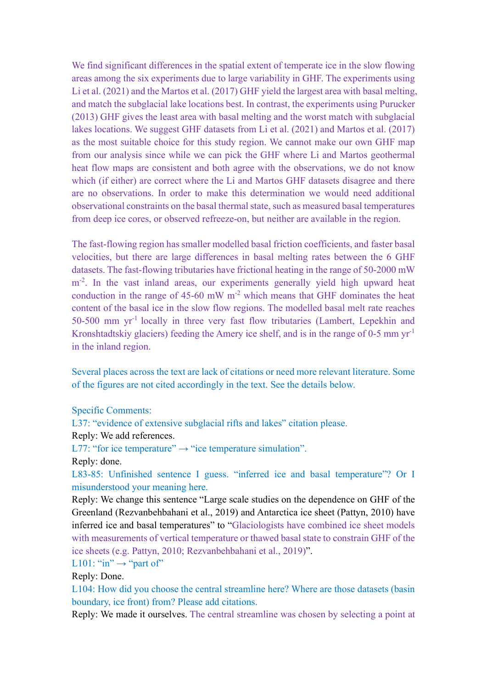We find significant differences in the spatial extent of temperate ice in the slow flowing areas among the six experiments due to large variability in GHF. The experiments using Li et al. (2021) and the Martos et al. (2017) GHF yield the largest area with basal melting, and match the subglacial lake locations best. In contrast, the experiments using Purucker (2013) GHF gives the least area with basal melting and the worst match with subglacial lakes locations. We suggest GHF datasets from Li et al. (2021) and Martos et al. (2017) as the most suitable choice for this study region. We cannot make our own GHF map from our analysis since while we can pick the GHF where Li and Martos geothermal heat flow maps are consistent and both agree with the observations, we do not know which (if either) are correct where the Li and Martos GHF datasets disagree and there are no observations. In order to make this determination we would need additional observational constraints on the basal thermal state, such as measured basal temperatures from deep ice cores, or observed refreeze-on, but neither are available in the region.

The fast-flowing region has smaller modelled basal friction coefficients, and faster basal velocities, but there are large differences in basal melting rates between the 6 GHF datasets. The fast-flowing tributaries have frictional heating in the range of 50-2000 mW m<sup>-2</sup>. In the vast inland areas, our experiments generally yield high upward heat conduction in the range of  $45{\text -}60$  mW m<sup>-2</sup> which means that GHF dominates the heat content of the basal ice in the slow flow regions. The modelled basal melt rate reaches 50-500 mm yr-1 locally in three very fast flow tributaries (Lambert, Lepekhin and Kronshtadtskiy glaciers) feeding the Amery ice shelf, and is in the range of 0-5 mm yr-1 in the inland region.

Several places across the text are lack of citations or need more relevant literature. Some of the figures are not cited accordingly in the text. See the details below.

#### Specific Comments:

L37: "evidence of extensive subglacial rifts and lakes" citation please.

#### Reply: We add references.

L77: "for ice temperature"  $\rightarrow$  "ice temperature simulation".

Reply: done.

L83-85: Unfinished sentence I guess. "inferred ice and basal temperature"? Or I misunderstood your meaning here.

Reply: We change this sentence "Large scale studies on the dependence on GHF of the Greenland (Rezvanbehbahani et al., 2019) and Antarctica ice sheet (Pattyn, 2010) have inferred ice and basal temperatures" to "Glaciologists have combined ice sheet models with measurements of vertical temperature or thawed basal state to constrain GHF of the ice sheets (e.g. Pattyn, 2010; Rezvanbehbahani et al., 2019)".

L101: "in"  $\rightarrow$  "part of"

Reply: Done.

L104: How did you choose the central streamline here? Where are those datasets (basin boundary, ice front) from? Please add citations.

Reply: We made it ourselves. The central streamline was chosen by selecting a point at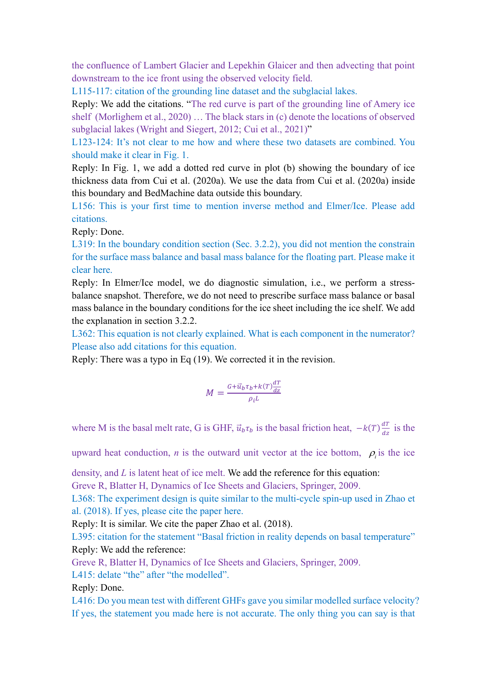the confluence of Lambert Glacier and Lepekhin Glaicer and then advecting that point downstream to the ice front using the observed velocity field.

L115-117: citation of the grounding line dataset and the subglacial lakes.

Reply: We add the citations. "The red curve is part of the grounding line of Amery ice shelf (Morlighem et al., 2020) … The black stars in (c) denote the locations of observed subglacial lakes (Wright and Siegert, 2012; Cui et al., 2021)"

L123-124: It's not clear to me how and where these two datasets are combined. You should make it clear in Fig. 1.

Reply: In Fig. 1, we add a dotted red curve in plot (b) showing the boundary of ice thickness data from Cui et al. (2020a). We use the data from Cui et al. (2020a) inside this boundary and BedMachine data outside this boundary.

L156: This is your first time to mention inverse method and Elmer/Ice. Please add citations.

Reply: Done.

L319: In the boundary condition section (Sec. 3.2.2), you did not mention the constrain for the surface mass balance and basal mass balance for the floating part. Please make it clear here.

Reply: In Elmer/Ice model, we do diagnostic simulation, i.e., we perform a stressbalance snapshot. Therefore, we do not need to prescribe surface mass balance or basal mass balance in the boundary conditions for the ice sheet including the ice shelf. We add the explanation in section 3.2.2.

L362: This equation is not clearly explained. What is each component in the numerator? Please also add citations for this equation.

Reply: There was a typo in Eq (19). We corrected it in the revision.

$$
M = \frac{G + \vec{u}_b \tau_b + k(T) \frac{dT}{dz}}{\rho_i L}
$$

where M is the basal melt rate, G is GHF,  $\vec{u}_b \tau_b$  is the basal friction heat,  $-k(T) \frac{dT}{dz}$  $\frac{di}{dz}$  is the

upward heat conduction, *n* is the outward unit vector at the ice bottom,  $\rho_i$  is the ice

density, and  $L$  is latent heat of ice melt. We add the reference for this equation:

Greve R, Blatter H, Dynamics of Ice Sheets and Glaciers, Springer, 2009.

L368: The experiment design is quite similar to the multi-cycle spin-up used in Zhao et al. (2018). If yes, please cite the paper here.

Reply: It is similar. We cite the paper Zhao et al. (2018).

L395: citation for the statement "Basal friction in reality depends on basal temperature" Reply: We add the reference:

Greve R, Blatter H, Dynamics of Ice Sheets and Glaciers, Springer, 2009.

L415: delate "the" after "the modelled".

Reply: Done.

L416: Do you mean test with different GHFs gave you similar modelled surface velocity? If yes, the statement you made here is not accurate. The only thing you can say is that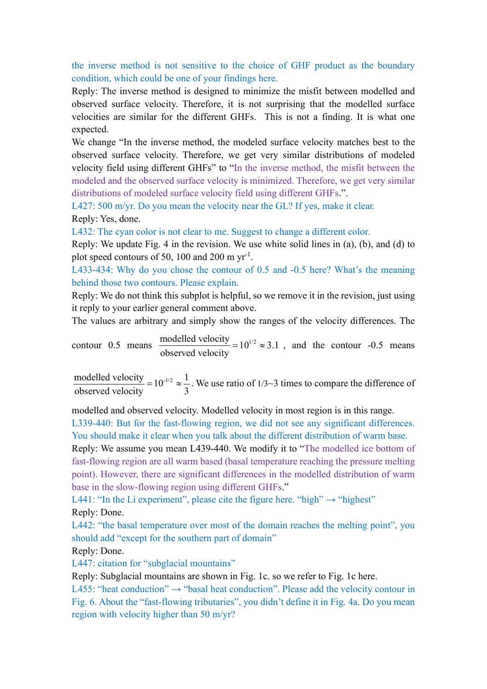## the inverse method is not sensitive to the choice of GHF product as the boundary condition, which could be one of your findings here.

Reply: The inverse method is designed to minimize the misfit between modelled and observed surface velocity. Therefore, it is not surprising that the modelled surface velocities are similar for the different GHFs. This is not a finding. It is what one expected.

We change "In the inverse method, the modeled surface velocity matches best to the observed surface velocity. Therefore, we get very similar distributions of modeled velocity field using different GHFs" to "In the inverse method, the misfit between the modeled and the observed surface velocity is minimized. Therefore, we get very similar distributions of modeled surface velocity field using different GHFs.".

L427: 500 m/yr. Do you mean the velocity near the GL? If yes, make it clear. Reply: Yes, done.

L432: The cyan color is not clear to me. Suggest to change a different color.

Reply: We update Fig. 4 in the revision. We use white solid lines in (a), (b), and (d) to plot speed contours of 50, 100 and 200 m  $yr^{-1}$ .

L433-434: Why do you chose the contour of 0.5 and -0.5 here? What's the meaning behind those two contours. Please explain.

Reply: We do not think this subplot is helpful, so we remove it in the revision, just using it reply to your earlier general comment above.

The values are arbitrary and simply show the ranges of the velocity differences. The

contour 0.5 means  $\frac{\text{modelled velocity}}{1.2 \times 10^{1/2}} = 10^{1/2} \approx 3.1$ observed velocity  $=10^{1/2} \approx 3.1$ , and the contour -0.5 means

modelled velocity  $=10^{-1/2} \approx \frac{1}{2}$ . observed velocity  $\frac{-10}{3}$ .  $=10^{-1/2} \approx \frac{1}{2}$ . We use ratio of 1/3~3 times to compare the difference of

modelled and observed velocity. Modelled velocity in most region is in this range.

L339-440: But for the fast-flowing region, we did not see any significant differences. You should make it clear when you talk about the different distribution of warm base.

Reply: We assume you mean L439-440. We modify it to "The modelled ice bottom of fast-flowing region are all warm based (basal temperature reaching the pressure melting point). However, there are significant differences in the modelled distribution of warm base in the slow-flowing region using different GHFs."

L441: "In the Li experiment", please cite the figure here. "high"  $\rightarrow$  "highest" Reply: Done.

L442: "the basal temperature over most of the domain reaches the melting point", you should add "except for the southern part of domain"

Reply: Done.

L447: citation for "subglacial mountains"

Reply: Subglacial mountains are shown in Fig. 1c. so we refer to Fig. 1c here.

L455: "heat conduction"  $\rightarrow$  "basal heat conduction". Please add the velocity contour in Fig. 6. About the "fast-flowing tributaries", you didn't define it in Fig. 4a. Do you mean region with velocity higher than 50 m/yr?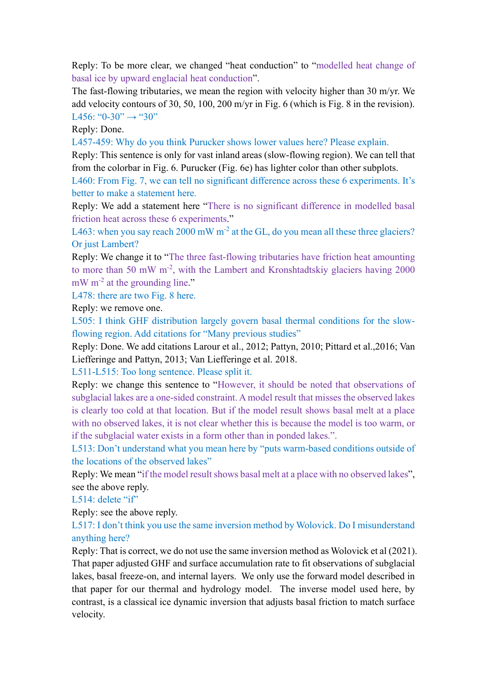Reply: To be more clear, we changed "heat conduction" to "modelled heat change of basal ice by upward englacial heat conduction".

The fast-flowing tributaries, we mean the region with velocity higher than 30 m/yr. We add velocity contours of 30, 50, 100, 200 m/yr in Fig. 6 (which is Fig. 8 in the revision). L456: "0-30"  $\rightarrow$  "30"

Reply: Done.

L457-459: Why do you think Purucker shows lower values here? Please explain.

Reply: This sentence is only for vast inland areas (slow-flowing region). We can tell that from the colorbar in Fig. 6. Purucker (Fig. 6e) has lighter color than other subplots.

L460: From Fig. 7, we can tell no significant difference across these 6 experiments. It's better to make a statement here.

Reply: We add a statement here "There is no significant difference in modelled basal friction heat across these 6 experiments."

L463: when you say reach  $2000 \text{ mW m}^2$  at the GL, do you mean all these three glaciers? Or just Lambert?

Reply: We change it to "The three fast-flowing tributaries have friction heat amounting to more than 50 mW m-2, with the Lambert and Kronshtadtskiy glaciers having 2000 mW m<sup>-2</sup> at the grounding line."

L478: there are two Fig. 8 here.

Reply: we remove one.

L505: I think GHF distribution largely govern basal thermal conditions for the slowflowing region. Add citations for "Many previous studies"

Reply: Done. We add citations Larour et al., 2012; Pattyn, 2010; Pittard et al.,2016; Van Liefferinge and Pattyn, 2013; Van Liefferinge et al. 2018.

L511-L515: Too long sentence. Please split it.

Reply: we change this sentence to "However, it should be noted that observations of subglacial lakes are a one-sided constraint. A model result that misses the observed lakes is clearly too cold at that location. But if the model result shows basal melt at a place with no observed lakes, it is not clear whether this is because the model is too warm, or if the subglacial water exists in a form other than in ponded lakes.".

L513: Don't understand what you mean here by "puts warm-based conditions outside of the locations of the observed lakes"

Reply: We mean "if the model result shows basal melt at a place with no observed lakes", see the above reply.

L514: delete "if"

Reply: see the above reply.

L517: I don't think you use the same inversion method by Wolovick. Do I misunderstand anything here?

Reply: That is correct, we do not use the same inversion method as Wolovick et al (2021). That paper adjusted GHF and surface accumulation rate to fit observations of subglacial lakes, basal freeze-on, and internal layers. We only use the forward model described in that paper for our thermal and hydrology model. The inverse model used here, by contrast, is a classical ice dynamic inversion that adjusts basal friction to match surface velocity.